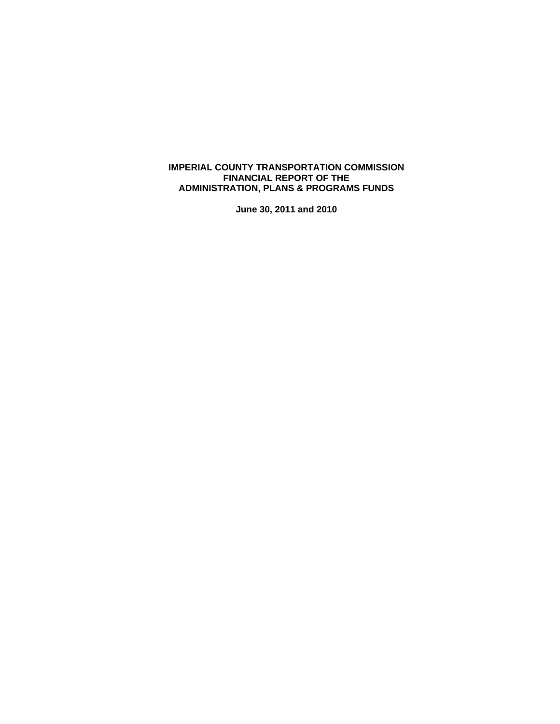## **IMPERIAL COUNTY TRANSPORTATION COMMISSION FINANCIAL REPORT OF THE ADMINISTRATION, PLANS & PROGRAMS FUNDS**

**June 30, 2011 and 2010**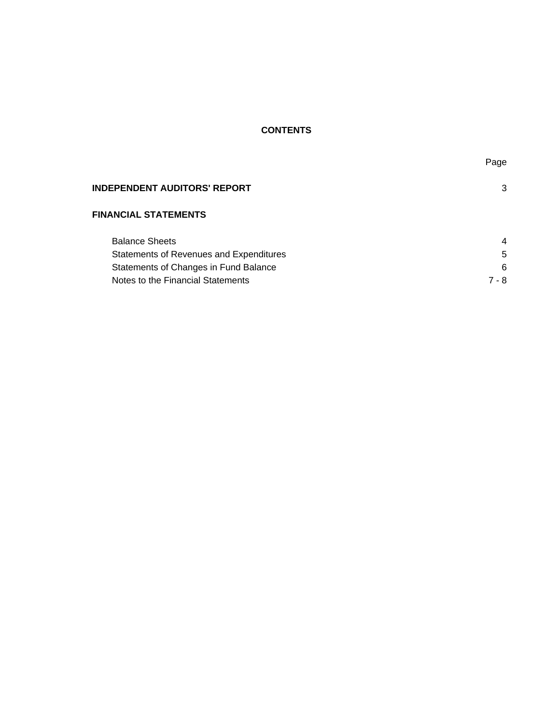# **CONTENTS**

| <b>INDEPENDENT AUDITORS' REPORT</b>     | 3     |
|-----------------------------------------|-------|
| <b>FINANCIAL STATEMENTS</b>             |       |
| <b>Balance Sheets</b>                   | 4     |
| Statements of Revenues and Expenditures | 5     |
| Statements of Changes in Fund Balance   | 6     |
| Notes to the Financial Statements       | 7 - 8 |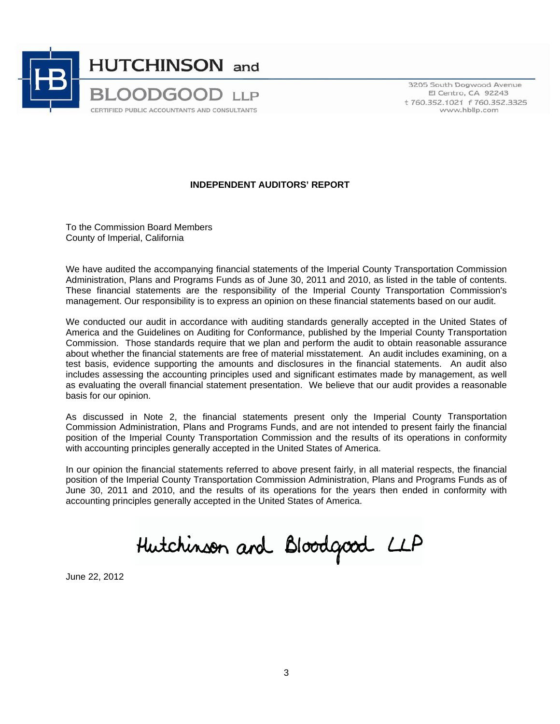

3205 South Dogwood Avenue El Centro, CA 92243 t 760.352.1021 f 760.352.3325 www.hbllp.com

# **INDEPENDENT AUDITORS' REPORT**

To the Commission Board Members County of Imperial, California

We have audited the accompanying financial statements of the Imperial County Transportation Commission Administration, Plans and Programs Funds as of June 30, 2011 and 2010, as listed in the table of contents. These financial statements are the responsibility of the Imperial County Transportation Commission's management. Our responsibility is to express an opinion on these financial statements based on our audit.

We conducted our audit in accordance with auditing standards generally accepted in the United States of America and the Guidelines on Auditing for Conformance, published by the Imperial County Transportation Commission. Those standards require that we plan and perform the audit to obtain reasonable assurance about whether the financial statements are free of material misstatement. An audit includes examining, on a test basis, evidence supporting the amounts and disclosures in the financial statements. An audit also includes assessing the accounting principles used and significant estimates made by management, as well as evaluating the overall financial statement presentation. We believe that our audit provides a reasonable basis for our opinion.

As discussed in Note 2, the financial statements present only the Imperial County Transportation Commission Administration, Plans and Programs Funds, and are not intended to present fairly the financial position of the Imperial County Transportation Commission and the results of its operations in conformity with accounting principles generally accepted in the United States of America.

In our opinion the financial statements referred to above present fairly, in all material respects, the financial position of the Imperial County Transportation Commission Administration, Plans and Programs Funds as of June 30, 2011 and 2010, and the results of its operations for the years then ended in conformity with accounting principles generally accepted in the United States of America.

Hutchinson and Bloodgood LLP

June 22, 2012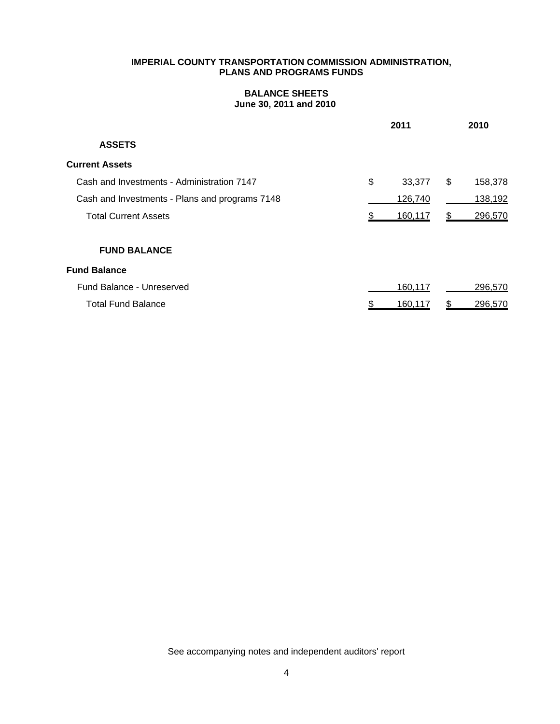# **BALANCE SHEETS June 30, 2011 and 2010**

|                                                | 2011         |    | 2010    |
|------------------------------------------------|--------------|----|---------|
| <b>ASSETS</b>                                  |              |    |         |
| <b>Current Assets</b>                          |              |    |         |
| Cash and Investments - Administration 7147     | \$<br>33,377 | \$ | 158,378 |
| Cash and Investments - Plans and programs 7148 | 126,740      |    | 138,192 |
| <b>Total Current Assets</b>                    | 160,117      | S  | 296,570 |
| <b>FUND BALANCE</b>                            |              |    |         |
| <b>Fund Balance</b>                            |              |    |         |
| Fund Balance - Unreserved                      | 160,117      |    | 296,570 |
| <b>Total Fund Balance</b>                      | 160,117      |    | 296,570 |

See accompanying notes and independent auditors' report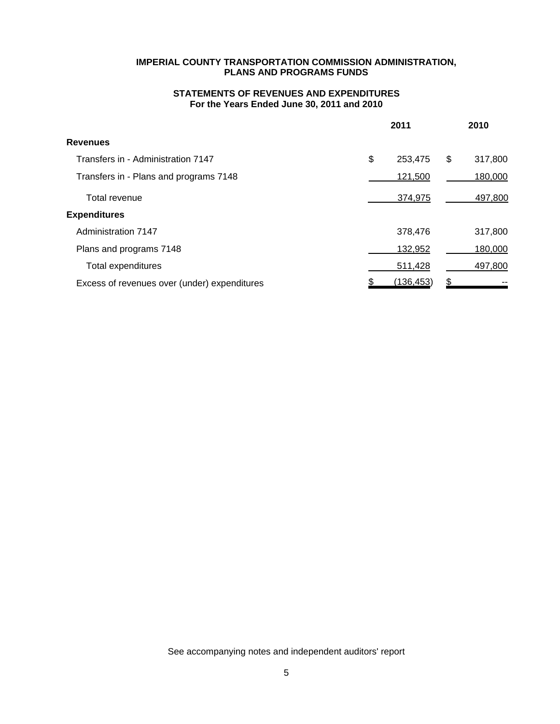# **STATEMENTS OF REVENUES AND EXPENDITURES For the Years Ended June 30, 2011 and 2010**

|                                              | 2011          | 2010          |
|----------------------------------------------|---------------|---------------|
| <b>Revenues</b>                              |               |               |
| Transfers in - Administration 7147           | \$<br>253,475 | 317,800<br>\$ |
| Transfers in - Plans and programs 7148       | 121,500       | 180,000       |
| Total revenue                                | 374,975       | 497,800       |
| <b>Expenditures</b>                          |               |               |
| Administration 7147                          | 378,476       | 317,800       |
| Plans and programs 7148                      | 132,952       | 180,000       |
| Total expenditures                           | 511,428       | 497,800       |
| Excess of revenues over (under) expenditures | (136,453)     |               |

See accompanying notes and independent auditors' report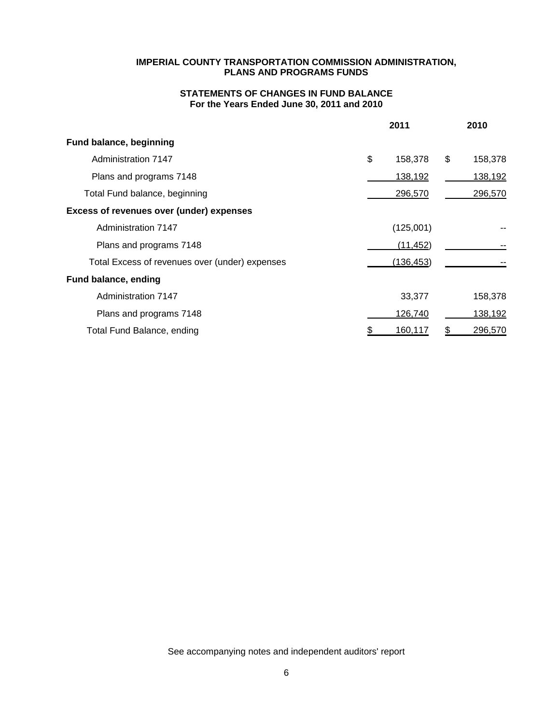# **STATEMENTS OF CHANGES IN FUND BALANCE For the Years Ended June 30, 2011 and 2010**

|                                                | 2011          | 2010          |
|------------------------------------------------|---------------|---------------|
| <b>Fund balance, beginning</b>                 |               |               |
| Administration 7147                            | \$<br>158,378 | \$<br>158,378 |
| Plans and programs 7148                        | 138,192       | 138,192       |
| Total Fund balance, beginning                  | 296,570       | 296,570       |
| Excess of revenues over (under) expenses       |               |               |
| Administration 7147                            | (125,001)     |               |
| Plans and programs 7148                        | (11, 452)     |               |
| Total Excess of revenues over (under) expenses | (136, 453)    |               |
| Fund balance, ending                           |               |               |
| Administration 7147                            | 33,377        | 158,378       |
| Plans and programs 7148                        | 126,740       | 138,192       |
| Total Fund Balance, ending                     | 160,117       | 296,570<br>S  |

See accompanying notes and independent auditors' report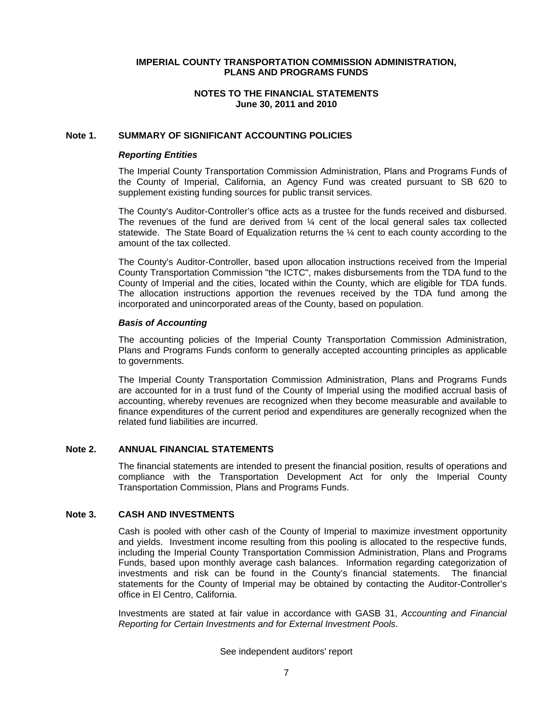#### **NOTES TO THE FINANCIAL STATEMENTS June 30, 2011 and 2010**

#### **Note 1. SUMMARY OF SIGNIFICANT ACCOUNTING POLICIES**

#### *Reporting Entities*

The Imperial County Transportation Commission Administration, Plans and Programs Funds of the County of Imperial, California, an Agency Fund was created pursuant to SB 620 to supplement existing funding sources for public transit services.

The County's Auditor-Controller's office acts as a trustee for the funds received and disbursed. The revenues of the fund are derived from ¼ cent of the local general sales tax collected statewide. The State Board of Equalization returns the ¼ cent to each county according to the amount of the tax collected.

The County's Auditor-Controller, based upon allocation instructions received from the Imperial County Transportation Commission "the ICTC", makes disbursements from the TDA fund to the County of Imperial and the cities, located within the County, which are eligible for TDA funds. The allocation instructions apportion the revenues received by the TDA fund among the incorporated and unincorporated areas of the County, based on population.

#### *Basis of Accounting*

The accounting policies of the Imperial County Transportation Commission Administration, Plans and Programs Funds conform to generally accepted accounting principles as applicable to governments.

The Imperial County Transportation Commission Administration, Plans and Programs Funds are accounted for in a trust fund of the County of Imperial using the modified accrual basis of accounting, whereby revenues are recognized when they become measurable and available to finance expenditures of the current period and expenditures are generally recognized when the related fund liabilities are incurred.

#### **Note 2. ANNUAL FINANCIAL STATEMENTS**

The financial statements are intended to present the financial position, results of operations and compliance with the Transportation Development Act for only the Imperial County Transportation Commission, Plans and Programs Funds.

#### **Note 3. CASH AND INVESTMENTS**

Cash is pooled with other cash of the County of Imperial to maximize investment opportunity and yields. Investment income resulting from this pooling is allocated to the respective funds, including the Imperial County Transportation Commission Administration, Plans and Programs Funds, based upon monthly average cash balances. Information regarding categorization of investments and risk can be found in the County's financial statements. The financial statements for the County of Imperial may be obtained by contacting the Auditor-Controller's office in El Centro, California.

Investments are stated at fair value in accordance with GASB 31, *Accounting and Financial Reporting for Certain Investments and for External Investment Pools*.

#### See independent auditors' report